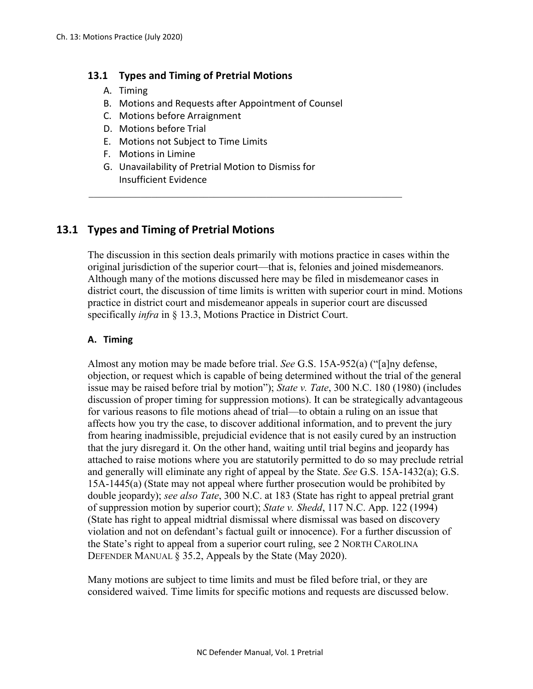### **13.1 Types and Timing of Pretrial Motions**

- A. Timing
- B. Motions and Requests after Appointment of Counsel
- C. Motions before Arraignment
- D. Motions before Trial
- E. Motions not Subject to Time Limits
- F. Motions in Limine
- G. Unavailability of Pretrial Motion to Dismiss for Insufficient Evidence

# **13.1 Types and Timing of Pretrial Motions**

The discussion in this section deals primarily with motions practice in cases within the original jurisdiction of the superior court—that is, felonies and joined misdemeanors. Although many of the motions discussed here may be filed in misdemeanor cases in district court, the discussion of time limits is written with superior court in mind. Motions practice in district court and misdemeanor appeals in superior court are discussed specifically *infra* in § 13.3, Motions Practice in District Court.

### **A. Timing**

Almost any motion may be made before trial. *See* G.S. 15A-952(a) ("[a]ny defense, objection, or request which is capable of being determined without the trial of the general issue may be raised before trial by motion"); *State v. Tate*, 300 N.C. 180 (1980) (includes discussion of proper timing for suppression motions). It can be strategically advantageous for various reasons to file motions ahead of trial—to obtain a ruling on an issue that affects how you try the case, to discover additional information, and to prevent the jury from hearing inadmissible, prejudicial evidence that is not easily cured by an instruction that the jury disregard it. On the other hand, waiting until trial begins and jeopardy has attached to raise motions where you are statutorily permitted to do so may preclude retrial and generally will eliminate any right of appeal by the State. *See* G.S. 15A-1432(a); G.S. 15A-1445(a) (State may not appeal where further prosecution would be prohibited by double jeopardy); *see also Tate*, 300 N.C. at 183 (State has right to appeal pretrial grant of suppression motion by superior court); *State v. Shedd*, 117 N.C. App. 122 (1994) (State has right to appeal midtrial dismissal where dismissal was based on discovery violation and not on defendant's factual guilt or innocence). For a further discussion of the State's right to appeal from a superior court ruling, see 2 NORTH CAROLINA DEFENDER MANUAL § 35.2, Appeals by the State (May 2020).

Many motions are subject to time limits and must be filed before trial, or they are considered waived. Time limits for specific motions and requests are discussed below.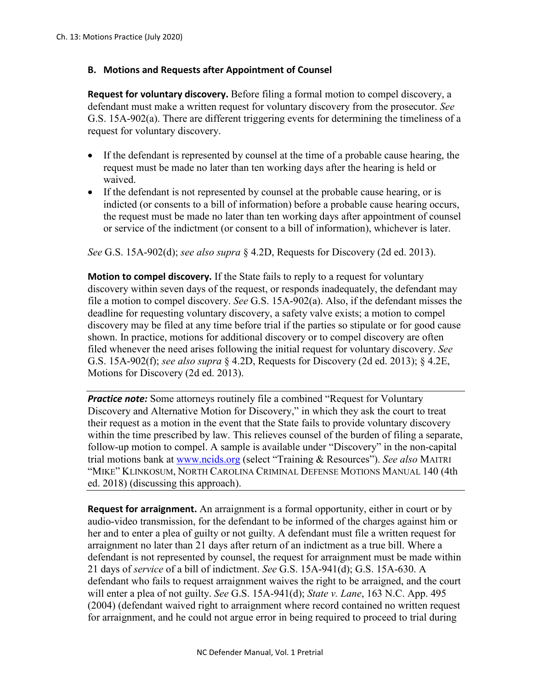### **B. Motions and Requests after Appointment of Counsel**

**Request for voluntary discovery.** Before filing a formal motion to compel discovery, a defendant must make a written request for voluntary discovery from the prosecutor. *See*  G.S. 15A-902(a). There are different triggering events for determining the timeliness of a request for voluntary discovery.

- If the defendant is represented by counsel at the time of a probable cause hearing, the request must be made no later than ten working days after the hearing is held or waived.
- If the defendant is not represented by counsel at the probable cause hearing, or is indicted (or consents to a bill of information) before a probable cause hearing occurs, the request must be made no later than ten working days after appointment of counsel or service of the indictment (or consent to a bill of information), whichever is later.

*See* G.S. 15A-902(d); *see also supra* § 4.2D, Requests for Discovery (2d ed. 2013).

**Motion to compel discovery.** If the State fails to reply to a request for voluntary discovery within seven days of the request, or responds inadequately, the defendant may file a motion to compel discovery. *See* G.S. 15A-902(a). Also, if the defendant misses the deadline for requesting voluntary discovery, a safety valve exists; a motion to compel discovery may be filed at any time before trial if the parties so stipulate or for good cause shown. In practice, motions for additional discovery or to compel discovery are often filed whenever the need arises following the initial request for voluntary discovery. *See*  G.S. 15A-902(f); *see also supra* § 4.2D, Requests for Discovery (2d ed. 2013); § 4.2E, Motions for Discovery (2d ed. 2013).

*Practice note:* Some attorneys routinely file a combined "Request for Voluntary" Discovery and Alternative Motion for Discovery," in which they ask the court to treat their request as a motion in the event that the State fails to provide voluntary discovery within the time prescribed by law. This relieves counsel of the burden of filing a separate, follow-up motion to compel. A sample is available under "Discovery" in the non-capital trial motions bank at [www.ncids.org](http://www.ncids.org/) (select "Training & Resources"). *See also* MAITRI "MIKE" KLINKOSUM, NORTH CAROLINA CRIMINAL DEFENSE MOTIONS MANUAL 140 (4th ed. 2018) (discussing this approach).

**Request for arraignment.** An arraignment is a formal opportunity, either in court or by audio-video transmission, for the defendant to be informed of the charges against him or her and to enter a plea of guilty or not guilty. A defendant must file a written request for arraignment no later than 21 days after return of an indictment as a true bill. Where a defendant is not represented by counsel, the request for arraignment must be made within 21 days of *service* of a bill of indictment. *See* G.S. 15A-941(d); G.S. 15A-630. A defendant who fails to request arraignment waives the right to be arraigned, and the court will enter a plea of not guilty. *See* G.S. 15A-941(d); *State v. Lane*, 163 N.C. App. 495 (2004) (defendant waived right to arraignment where record contained no written request for arraignment, and he could not argue error in being required to proceed to trial during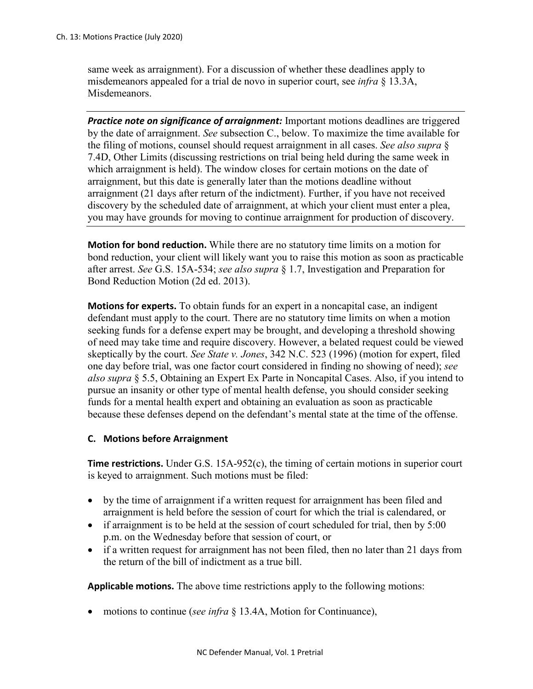same week as arraignment). For a discussion of whether these deadlines apply to misdemeanors appealed for a trial de novo in superior court, see *infra* § 13.3A, Misdemeanors.

**Practice note on significance of arraignment:** Important motions deadlines are triggered by the date of arraignment. *See* subsection C., below. To maximize the time available for the filing of motions, counsel should request arraignment in all cases. *See also supra* § 7.4D, Other Limits (discussing restrictions on trial being held during the same week in which arraignment is held). The window closes for certain motions on the date of arraignment, but this date is generally later than the motions deadline without arraignment (21 days after return of the indictment). Further, if you have not received discovery by the scheduled date of arraignment, at which your client must enter a plea, you may have grounds for moving to continue arraignment for production of discovery.

**Motion for bond reduction.** While there are no statutory time limits on a motion for bond reduction, your client will likely want you to raise this motion as soon as practicable after arrest. *See* G.S. 15A-534; *see also supra* § 1.7, Investigation and Preparation for Bond Reduction Motion (2d ed. 2013).

**Motions for experts.** To obtain funds for an expert in a noncapital case, an indigent defendant must apply to the court. There are no statutory time limits on when a motion seeking funds for a defense expert may be brought, and developing a threshold showing of need may take time and require discovery. However, a belated request could be viewed skeptically by the court. *See State v. Jones*, 342 N.C. 523 (1996) (motion for expert, filed one day before trial, was one factor court considered in finding no showing of need); *see also supra* § 5.5, Obtaining an Expert Ex Parte in Noncapital Cases. Also, if you intend to pursue an insanity or other type of mental health defense, you should consider seeking funds for a mental health expert and obtaining an evaluation as soon as practicable because these defenses depend on the defendant's mental state at the time of the offense.

### **C. Motions before Arraignment**

**Time restrictions.** Under G.S. 15A-952(c), the timing of certain motions in superior court is keyed to arraignment. Such motions must be filed:

- by the time of arraignment if a written request for arraignment has been filed and arraignment is held before the session of court for which the trial is calendared, or
- if arraignment is to be held at the session of court scheduled for trial, then by 5:00 p.m. on the Wednesday before that session of court, or
- if a written request for arraignment has not been filed, then no later than 21 days from the return of the bill of indictment as a true bill.

**Applicable motions.** The above time restrictions apply to the following motions:

• motions to continue (*see infra* § 13.4A, Motion for Continuance),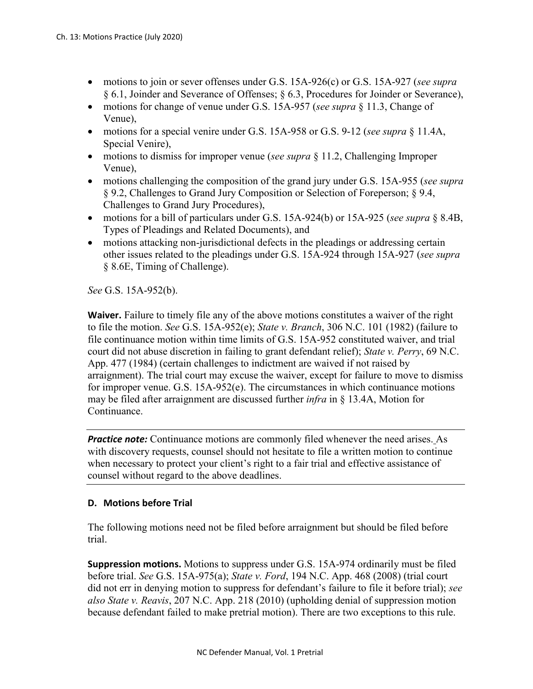- motions to join or sever offenses under G.S. 15A-926(c) or G.S. 15A-927 (*see supra* § 6.1, Joinder and Severance of Offenses; § 6.3, Procedures for Joinder or Severance),
- motions for change of venue under G.S. 15A-957 (*see supra* § 11.3, Change of Venue),
- motions for a special venire under G.S. 15A-958 or G.S. 9-12 (*see supra* § 11.4A, Special Venire),
- motions to dismiss for improper venue (*see supra* § 11.2, Challenging Improper Venue),
- motions challenging the composition of the grand jury under G.S. 15A-955 (*see supra* § 9.2, Challenges to Grand Jury Composition or Selection of Foreperson; § 9.4, Challenges to Grand Jury Procedures),
- motions for a bill of particulars under G.S. 15A-924(b) or 15A-925 (*see supra* § 8.4B, Types of Pleadings and Related Documents), and
- motions attacking non-jurisdictional defects in the pleadings or addressing certain other issues related to the pleadings under G.S. 15A-924 through 15A-927 (*see supra* § 8.6E, Timing of Challenge).

*See* G.S. 15A-952(b).

**Waiver.** Failure to timely file any of the above motions constitutes a waiver of the right to file the motion. *See* G.S. 15A-952(e); *State v. Branch*, 306 N.C. 101 (1982) (failure to file continuance motion within time limits of G.S. 15A-952 constituted waiver, and trial court did not abuse discretion in failing to grant defendant relief); *State v. Perry*, 69 N.C. App. 477 (1984) (certain challenges to indictment are waived if not raised by arraignment). The trial court may excuse the waiver, except for failure to move to dismiss for improper venue. G.S. 15A-952(e). The circumstances in which continuance motions may be filed after arraignment are discussed further *infra* in § 13.4A, Motion for Continuance.

*Practice note:* Continuance motions are commonly filed whenever the need arises. As with discovery requests, counsel should not hesitate to file a written motion to continue when necessary to protect your client's right to a fair trial and effective assistance of counsel without regard to the above deadlines.

## **D. Motions before Trial**

The following motions need not be filed before arraignment but should be filed before trial.

**Suppression motions.** Motions to suppress under G.S. 15A-974 ordinarily must be filed before trial. *See* G.S. 15A-975(a); *State v. Ford*, 194 N.C. App. 468 (2008) (trial court did not err in denying motion to suppress for defendant's failure to file it before trial); *see also State v. Reavis*, 207 N.C. App. 218 (2010) (upholding denial of suppression motion because defendant failed to make pretrial motion). There are two exceptions to this rule.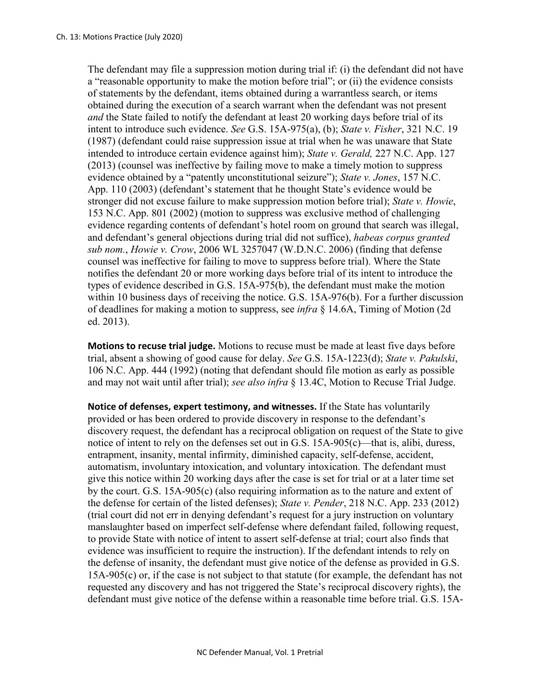The defendant may file a suppression motion during trial if: (i) the defendant did not have a "reasonable opportunity to make the motion before trial"; or (ii) the evidence consists of statements by the defendant, items obtained during a warrantless search, or items obtained during the execution of a search warrant when the defendant was not present *and* the State failed to notify the defendant at least 20 working days before trial of its intent to introduce such evidence. *See* G.S. 15A-975(a), (b); *State v. Fisher*, 321 N.C. 19 (1987) (defendant could raise suppression issue at trial when he was unaware that State intended to introduce certain evidence against him); *State v. Gerald,* 227 N.C. App. 127 (2013) (counsel was ineffective by failing move to make a timely motion to suppress evidence obtained by a "patently unconstitutional seizure"); *State v. Jones*, 157 N.C. App. 110 (2003) (defendant's statement that he thought State's evidence would be stronger did not excuse failure to make suppression motion before trial); *State v. Howie*, 153 N.C. App. 801 (2002) (motion to suppress was exclusive method of challenging evidence regarding contents of defendant's hotel room on ground that search was illegal, and defendant's general objections during trial did not suffice), *habeas corpus granted sub nom.*, *Howie v. Crow*, 2006 WL 3257047 (W.D.N.C. 2006) (finding that defense counsel was ineffective for failing to move to suppress before trial). Where the State notifies the defendant 20 or more working days before trial of its intent to introduce the types of evidence described in G.S. 15A-975(b), the defendant must make the motion within 10 business days of receiving the notice. G.S. 15A-976(b). For a further discussion of deadlines for making a motion to suppress, see *infra* § 14.6A, Timing of Motion (2d ed. 2013).

**Motions to recuse trial judge.** Motions to recuse must be made at least five days before trial, absent a showing of good cause for delay. *See* G.S. 15A-1223(d); *State v. Pakulski*, 106 N.C. App. 444 (1992) (noting that defendant should file motion as early as possible and may not wait until after trial); *see also infra* § 13.4C, Motion to Recuse Trial Judge.

**Notice of defenses, expert testimony, and witnesses.** If the State has voluntarily provided or has been ordered to provide discovery in response to the defendant's discovery request, the defendant has a reciprocal obligation on request of the State to give notice of intent to rely on the defenses set out in G.S. 15A-905(c)—that is, alibi, duress, entrapment, insanity, mental infirmity, diminished capacity, self-defense, accident, automatism, involuntary intoxication, and voluntary intoxication. The defendant must give this notice within 20 working days after the case is set for trial or at a later time set by the court. G.S. 15A-905(c) (also requiring information as to the nature and extent of the defense for certain of the listed defenses); *State v. Pender*, 218 N.C. App. 233 (2012) (trial court did not err in denying defendant's request for a jury instruction on voluntary manslaughter based on imperfect self-defense where defendant failed, following request, to provide State with notice of intent to assert self-defense at trial; court also finds that evidence was insufficient to require the instruction). If the defendant intends to rely on the defense of insanity, the defendant must give notice of the defense as provided in G.S. 15A-905(c) or, if the case is not subject to that statute (for example, the defendant has not requested any discovery and has not triggered the State's reciprocal discovery rights), the defendant must give notice of the defense within a reasonable time before trial. G.S. 15A-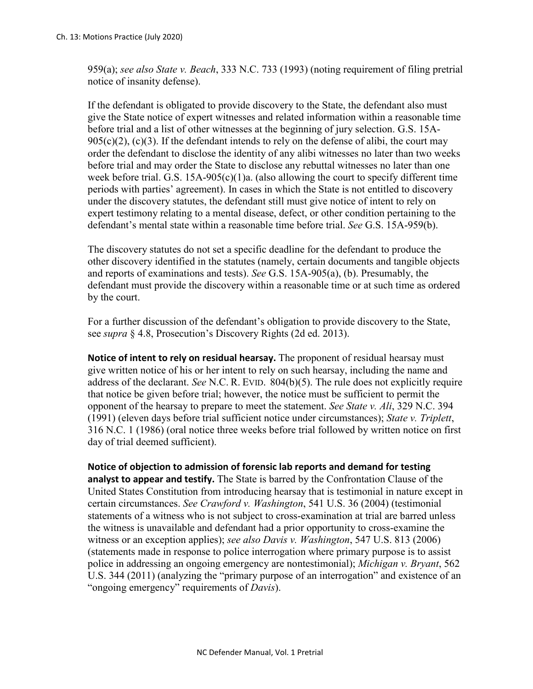959(a); *see also State v. Beach*, 333 N.C. 733 (1993) (noting requirement of filing pretrial notice of insanity defense).

If the defendant is obligated to provide discovery to the State, the defendant also must give the State notice of expert witnesses and related information within a reasonable time before trial and a list of other witnesses at the beginning of jury selection. G.S. 15A- $905(c)(2)$ , (c)(3). If the defendant intends to rely on the defense of alibi, the court may order the defendant to disclose the identity of any alibi witnesses no later than two weeks before trial and may order the State to disclose any rebuttal witnesses no later than one week before trial. G.S.  $15A-905(c)(1)a$ . (also allowing the court to specify different time periods with parties' agreement). In cases in which the State is not entitled to discovery under the discovery statutes, the defendant still must give notice of intent to rely on expert testimony relating to a mental disease, defect, or other condition pertaining to the defendant's mental state within a reasonable time before trial. *See* G.S. 15A-959(b).

The discovery statutes do not set a specific deadline for the defendant to produce the other discovery identified in the statutes (namely, certain documents and tangible objects and reports of examinations and tests). *See* G.S. 15A-905(a), (b). Presumably, the defendant must provide the discovery within a reasonable time or at such time as ordered by the court.

For a further discussion of the defendant's obligation to provide discovery to the State, see *supra* § 4.8, Prosecution's Discovery Rights (2d ed. 2013).

**Notice of intent to rely on residual hearsay.** The proponent of residual hearsay must give written notice of his or her intent to rely on such hearsay, including the name and address of the declarant. *See* N.C. R. EVID. 804(b)(5). The rule does not explicitly require that notice be given before trial; however, the notice must be sufficient to permit the opponent of the hearsay to prepare to meet the statement. *See State v. Ali*, 329 N.C. 394 (1991) (eleven days before trial sufficient notice under circumstances); *State v. Triplett*, 316 N.C. 1 (1986) (oral notice three weeks before trial followed by written notice on first day of trial deemed sufficient).

**Notice of objection to admission of forensic lab reports and demand for testing analyst to appear and testify.** The State is barred by the Confrontation Clause of the United States Constitution from introducing hearsay that is testimonial in nature except in certain circumstances. *See Crawford v. Washington*, 541 U.S. 36 (2004) (testimonial statements of a witness who is not subject to cross-examination at trial are barred unless the witness is unavailable and defendant had a prior opportunity to cross-examine the witness or an exception applies); *see also Davis v. Washington*, 547 U.S. 813 (2006) (statements made in response to police interrogation where primary purpose is to assist police in addressing an ongoing emergency are nontestimonial); *Michigan v. Bryant*, 562 U.S. 344 (2011) (analyzing the "primary purpose of an interrogation" and existence of an "ongoing emergency" requirements of *Davis*).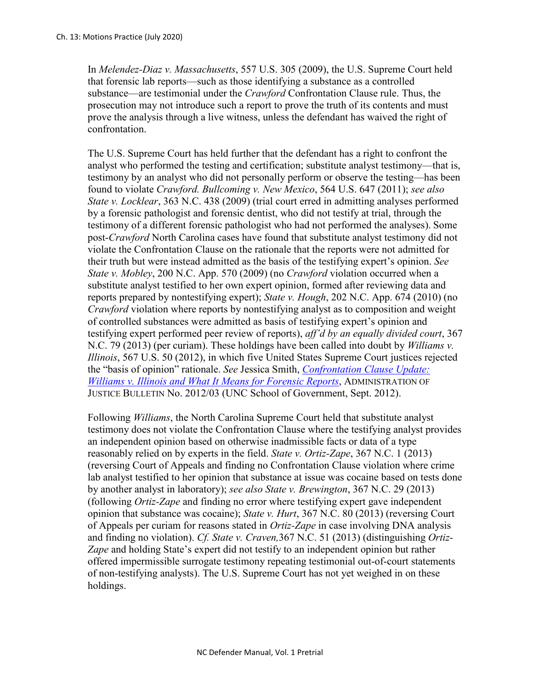In *Melendez-Diaz v. Massachusetts*, 557 U.S. 305 (2009), the U.S. Supreme Court held that forensic lab reports—such as those identifying a substance as a controlled substance—are testimonial under the *Crawford* Confrontation Clause rule. Thus, the prosecution may not introduce such a report to prove the truth of its contents and must prove the analysis through a live witness, unless the defendant has waived the right of confrontation.

The U.S. Supreme Court has held further that the defendant has a right to confront the analyst who performed the testing and certification; substitute analyst testimony—that is, testimony by an analyst who did not personally perform or observe the testing—has been found to violate *Crawford. Bullcoming v. New Mexico*, 564 U.S. 647 (2011); *see also State v. Locklear*, 363 N.C. 438 (2009) (trial court erred in admitting analyses performed by a forensic pathologist and forensic dentist, who did not testify at trial, through the testimony of a different forensic pathologist who had not performed the analyses). Some post-*Crawford* North Carolina cases have found that substitute analyst testimony did not violate the Confrontation Clause on the rationale that the reports were not admitted for their truth but were instead admitted as the basis of the testifying expert's opinion. *See State v. Mobley*, 200 N.C. App. 570 (2009) (no *Crawford* violation occurred when a substitute analyst testified to her own expert opinion, formed after reviewing data and reports prepared by nontestifying expert); *State v. Hough*, 202 N.C. App. 674 (2010) (no *Crawford* violation where reports by nontestifying analyst as to composition and weight of controlled substances were admitted as basis of testifying expert's opinion and testifying expert performed peer review of reports), *aff'd by an equally divided court*, 367 N.C. 79 (2013) (per curiam). These holdings have been called into doubt by *Williams v. Illinois*, 567 U.S. 50 (2012), in which five United States Supreme Court justices rejected the "basis of opinion" rationale. *See* Jessica Smith, *[Confrontation Clause Update:](https://www.sog.unc.edu/sites/www.sog.unc.edu/files/reports/aojb1203.pdf)  [Williams v. Illinois and What It Means for Forensic Reports](https://www.sog.unc.edu/sites/www.sog.unc.edu/files/reports/aojb1203.pdf)*, ADMINISTRATION OF JUSTICE BULLETIN No. 2012/03 (UNC School of Government, Sept. 2012).

Following *Williams*, the North Carolina Supreme Court held that substitute analyst testimony does not violate the Confrontation Clause where the testifying analyst provides an independent opinion based on otherwise inadmissible facts or data of a type reasonably relied on by experts in the field. *State v. Ortiz-Zape*, 367 N.C. 1 (2013) (reversing Court of Appeals and finding no Confrontation Clause violation where crime lab analyst testified to her opinion that substance at issue was cocaine based on tests done by another analyst in laboratory); *see also State v. Brewington*, 367 N.C. 29 (2013) (following *Ortiz-Zape* and finding no error where testifying expert gave independent opinion that substance was cocaine); *State v. Hurt*, 367 N.C. 80 (2013) (reversing Court of Appeals per curiam for reasons stated in *Ortiz-Zape* in case involving DNA analysis and finding no violation). *Cf. State v. Craven,*367 N.C. 51 (2013) (distinguishing *Ortiz-Zape* and holding State's expert did not testify to an independent opinion but rather offered impermissible surrogate testimony repeating testimonial out-of-court statements of non-testifying analysts). The U.S. Supreme Court has not yet weighed in on these holdings.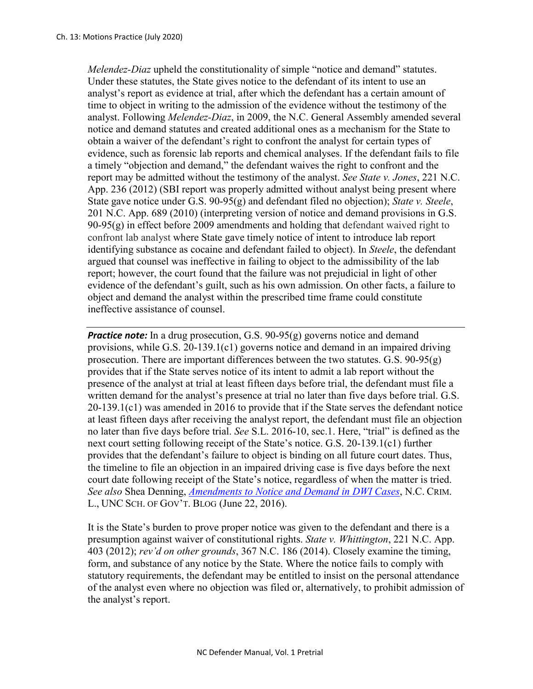*Melendez-Diaz* upheld the constitutionality of simple "notice and demand" statutes. Under these statutes, the State gives notice to the defendant of its intent to use an analyst's report as evidence at trial, after which the defendant has a certain amount of time to object in writing to the admission of the evidence without the testimony of the analyst. Following *Melendez-Diaz*, in 2009, the N.C. General Assembly amended several notice and demand statutes and created additional ones as a mechanism for the State to obtain a waiver of the defendant's right to confront the analyst for certain types of evidence, such as forensic lab reports and chemical analyses. If the defendant fails to file a timely "objection and demand," the defendant waives the right to confront and the report may be admitted without the testimony of the analyst. *See State v. Jones*, 221 N.C. App. 236 (2012) (SBI report was properly admitted without analyst being present where State gave notice under G.S. 90-95(g) and defendant filed no objection); *State v. Steele*, 201 N.C. App. 689 (2010) (interpreting version of notice and demand provisions in G.S.  $90-95(g)$  in effect before 2009 amendments and holding that defendant waived right to confront lab analyst where State gave timely notice of intent to introduce lab report identifying substance as cocaine and defendant failed to object). In *Steele*, the defendant argued that counsel was ineffective in failing to object to the admissibility of the lab report; however, the court found that the failure was not prejudicial in light of other evidence of the defendant's guilt, such as his own admission. On other facts, a failure to object and demand the analyst within the prescribed time frame could constitute ineffective assistance of counsel.

*Practice note:* In a drug prosecution, G.S. 90-95(g) governs notice and demand provisions, while G.S. 20-139.1(c1) governs notice and demand in an impaired driving prosecution. There are important differences between the two statutes.  $G.S. 90-95(g)$ provides that if the State serves notice of its intent to admit a lab report without the presence of the analyst at trial at least fifteen days before trial, the defendant must file a written demand for the analyst's presence at trial no later than five days before trial. G.S. 20-139.1(c1) was amended in 2016 to provide that if the State serves the defendant notice at least fifteen days after receiving the analyst report, the defendant must file an objection no later than five days before trial. *See* S.L. 2016-10, sec.1. Here, "trial" is defined as the next court setting following receipt of the State's notice. G.S. 20-139.1(c1) further provides that the defendant's failure to object is binding on all future court dates. Thus, the timeline to file an objection in an impaired driving case is five days before the next court date following receipt of the State's notice, regardless of when the matter is tried. *See also* Shea Denning, *[Amendments to Notice and Demand in DWI Cases](https://nccriminallaw.sog.unc.edu/amendments-notice-demand-provisions-dwi-cases/)*, N.C. CRIM. L., UNC SCH. OF GOV'T. BLOG (June 22, 2016).

It is the State's burden to prove proper notice was given to the defendant and there is a presumption against waiver of constitutional rights. *State v. Whittington*, 221 N.C. App. 403 (2012); *rev'd on other grounds*, 367 N.C. 186 (2014). Closely examine the timing, form, and substance of any notice by the State. Where the notice fails to comply with statutory requirements, the defendant may be entitled to insist on the personal attendance of the analyst even where no objection was filed or, alternatively, to prohibit admission of the analyst's report.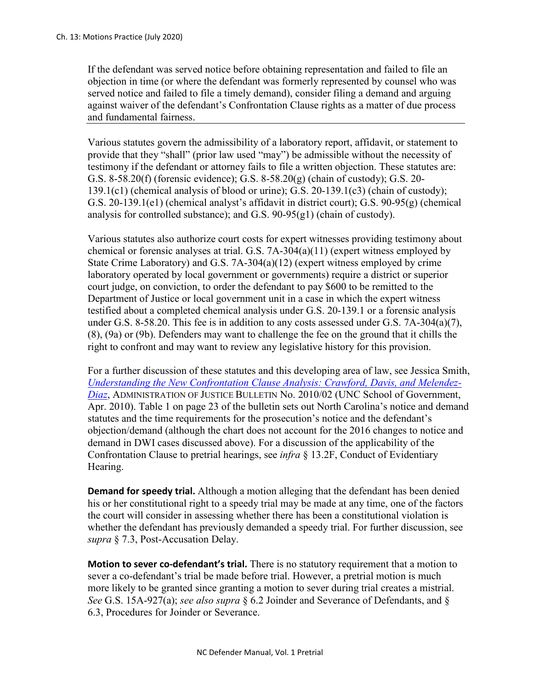If the defendant was served notice before obtaining representation and failed to file an objection in time (or where the defendant was formerly represented by counsel who was served notice and failed to file a timely demand), consider filing a demand and arguing against waiver of the defendant's Confrontation Clause rights as a matter of due process and fundamental fairness.

Various statutes govern the admissibility of a laboratory report, affidavit, or statement to provide that they "shall" (prior law used "may") be admissible without the necessity of testimony if the defendant or attorney fails to file a written objection. These statutes are: G.S. 8-58.20(f) (forensic evidence); G.S. 8-58.20(g) (chain of custody); G.S. 20- 139.1(c1) (chemical analysis of blood or urine); G.S. 20-139.1(c3) (chain of custody); G.S. 20-139.1(e1) (chemical analyst's affidavit in district court); G.S. 90-95(g) (chemical analysis for controlled substance); and G.S. 90-95(g1) (chain of custody).

Various statutes also authorize court costs for expert witnesses providing testimony about chemical or forensic analyses at trial. G.S. 7A-304(a)(11) (expert witness employed by State Crime Laboratory) and G.S. 7A-304(a)(12) (expert witness employed by crime laboratory operated by local government or governments) require a district or superior court judge, on conviction, to order the defendant to pay \$600 to be remitted to the Department of Justice or local government unit in a case in which the expert witness testified about a completed chemical analysis under G.S. 20-139.1 or a forensic analysis under G.S. 8-58.20. This fee is in addition to any costs assessed under G.S. 7A-304(a)(7), (8), (9a) or (9b). Defenders may want to challenge the fee on the ground that it chills the right to confront and may want to review any legislative history for this provision.

For a further discussion of these statutes and this developing area of law, see Jessica Smith, *[Understanding the New Confrontation Clause Analysis: Crawford, Davis, and Melendez-](https://www.sog.unc.edu/sites/www.sog.unc.edu/files/reports/aojb1002.pdf)[Diaz](https://www.sog.unc.edu/sites/www.sog.unc.edu/files/reports/aojb1002.pdf)*, ADMINISTRATION OF JUSTICE BULLETIN No. 2010/02 (UNC School of Government, Apr. 2010). Table 1 on page 23 of the bulletin sets out North Carolina's notice and demand statutes and the time requirements for the prosecution's notice and the defendant's objection/demand (although the chart does not account for the 2016 changes to notice and demand in DWI cases discussed above). For a discussion of the applicability of the Confrontation Clause to pretrial hearings, see *infra* § 13.2F, Conduct of Evidentiary Hearing.

**Demand for speedy trial.** Although a motion alleging that the defendant has been denied his or her constitutional right to a speedy trial may be made at any time, one of the factors the court will consider in assessing whether there has been a constitutional violation is whether the defendant has previously demanded a speedy trial. For further discussion, see *supra* § 7.3, Post-Accusation Delay.

**Motion to sever co-defendant's trial.** There is no statutory requirement that a motion to sever a co-defendant's trial be made before trial. However, a pretrial motion is much more likely to be granted since granting a motion to sever during trial creates a mistrial. *See* G.S. 15A-927(a); *see also supra* § 6.2 Joinder and Severance of Defendants, and § 6.3, Procedures for Joinder or Severance.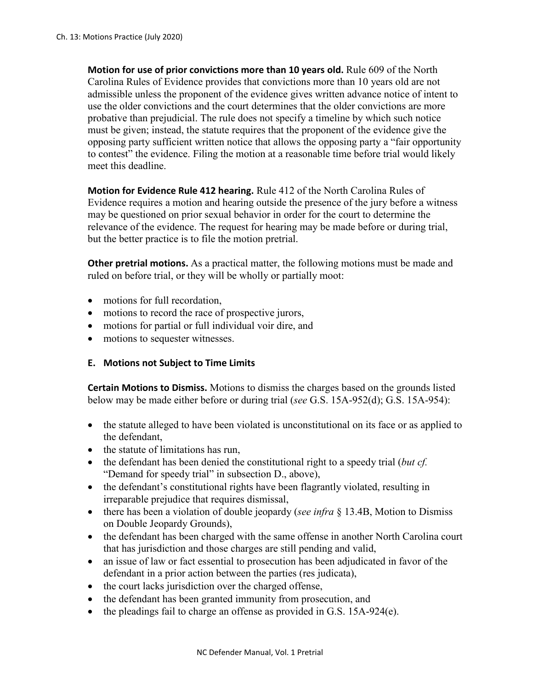**Motion for use of prior convictions more than 10 years old.** Rule 609 of the North Carolina Rules of Evidence provides that convictions more than 10 years old are not admissible unless the proponent of the evidence gives written advance notice of intent to use the older convictions and the court determines that the older convictions are more probative than prejudicial. The rule does not specify a timeline by which such notice must be given; instead, the statute requires that the proponent of the evidence give the opposing party sufficient written notice that allows the opposing party a "fair opportunity to contest" the evidence. Filing the motion at a reasonable time before trial would likely meet this deadline.

**Motion for Evidence Rule 412 hearing.** Rule 412 of the North Carolina Rules of Evidence requires a motion and hearing outside the presence of the jury before a witness may be questioned on prior sexual behavior in order for the court to determine the relevance of the evidence. The request for hearing may be made before or during trial, but the better practice is to file the motion pretrial.

**Other pretrial motions.** As a practical matter, the following motions must be made and ruled on before trial, or they will be wholly or partially moot:

- motions for full recordation.
- motions to record the race of prospective jurors,
- motions for partial or full individual voir dire, and
- motions to sequester witnesses.

### **E. Motions not Subject to Time Limits**

**Certain Motions to Dismiss.** Motions to dismiss the charges based on the grounds listed below may be made either before or during trial (*see* G.S. 15A-952(d); G.S. 15A-954):

- the statute alleged to have been violated is unconstitutional on its face or as applied to the defendant,
- the statute of limitations has run,
- the defendant has been denied the constitutional right to a speedy trial (*but cf.*  "Demand for speedy trial" in subsection D., above),
- the defendant's constitutional rights have been flagrantly violated, resulting in irreparable prejudice that requires dismissal,
- there has been a violation of double jeopardy (*see infra* § 13.4B, Motion to Dismiss on Double Jeopardy Grounds),
- the defendant has been charged with the same offense in another North Carolina court that has jurisdiction and those charges are still pending and valid,
- an issue of law or fact essential to prosecution has been adjudicated in favor of the defendant in a prior action between the parties (res judicata),
- the court lacks jurisdiction over the charged offense,
- the defendant has been granted immunity from prosecution, and
- the pleadings fail to charge an offense as provided in G.S. 15A-924(e).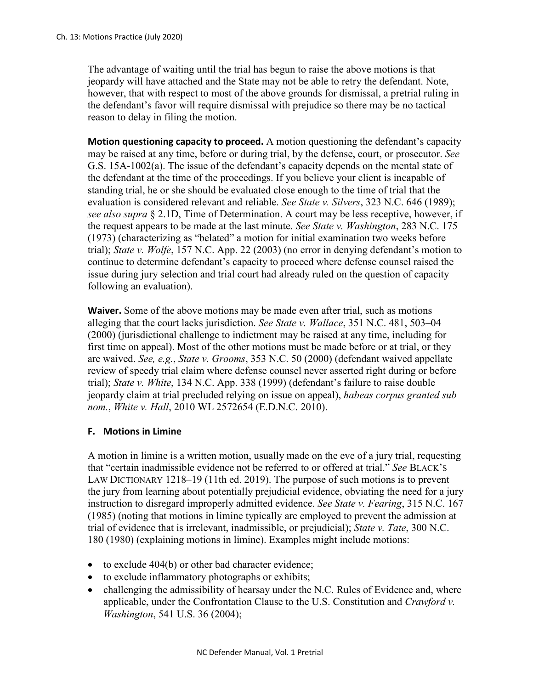The advantage of waiting until the trial has begun to raise the above motions is that jeopardy will have attached and the State may not be able to retry the defendant. Note, however, that with respect to most of the above grounds for dismissal, a pretrial ruling in the defendant's favor will require dismissal with prejudice so there may be no tactical reason to delay in filing the motion.

**Motion questioning capacity to proceed.** A motion questioning the defendant's capacity may be raised at any time, before or during trial, by the defense, court, or prosecutor. *See* G.S. 15A-1002(a). The issue of the defendant's capacity depends on the mental state of the defendant at the time of the proceedings. If you believe your client is incapable of standing trial, he or she should be evaluated close enough to the time of trial that the evaluation is considered relevant and reliable. *See State v. Silvers*, 323 N.C. 646 (1989); *see also supra* § 2.1D, Time of Determination. A court may be less receptive, however, if the request appears to be made at the last minute. *See State v. Washington*, 283 N.C. 175 (1973) (characterizing as "belated" a motion for initial examination two weeks before trial); *State v. Wolfe*, 157 N.C. App. 22 (2003) (no error in denying defendant's motion to continue to determine defendant's capacity to proceed where defense counsel raised the issue during jury selection and trial court had already ruled on the question of capacity following an evaluation).

**Waiver.** Some of the above motions may be made even after trial, such as motions alleging that the court lacks jurisdiction. *See State v. Wallace*, 351 N.C. 481, 503–04 (2000) (jurisdictional challenge to indictment may be raised at any time, including for first time on appeal). Most of the other motions must be made before or at trial, or they are waived. *See, e.g.*, *State v. Grooms*, 353 N.C. 50 (2000) (defendant waived appellate review of speedy trial claim where defense counsel never asserted right during or before trial); *State v. White*, 134 N.C. App. 338 (1999) (defendant's failure to raise double jeopardy claim at trial precluded relying on issue on appeal), *habeas corpus granted sub nom.*, *White v. Hall*, 2010 WL 2572654 (E.D.N.C. 2010).

## **F. Motions in Limine**

A motion in limine is a written motion, usually made on the eve of a jury trial, requesting that "certain inadmissible evidence not be referred to or offered at trial." *See* BLACK'S LAW DICTIONARY 1218–19 (11th ed. 2019). The purpose of such motions is to prevent the jury from learning about potentially prejudicial evidence, obviating the need for a jury instruction to disregard improperly admitted evidence. *See State v. Fearing*, 315 N.C. 167 (1985) (noting that motions in limine typically are employed to prevent the admission at trial of evidence that is irrelevant, inadmissible, or prejudicial); *State v. Tate*, 300 N.C. 180 (1980) (explaining motions in limine). Examples might include motions:

- to exclude 404(b) or other bad character evidence;
- to exclude inflammatory photographs or exhibits;
- challenging the admissibility of hearsay under the N.C. Rules of Evidence and, where applicable, under the Confrontation Clause to the U.S. Constitution and *Crawford v. Washington*, 541 U.S. 36 (2004);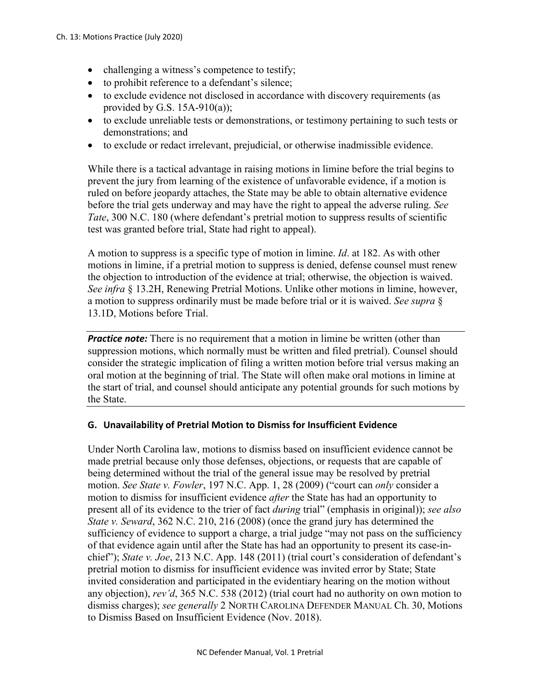- challenging a witness's competence to testify;
- to prohibit reference to a defendant's silence:
- to exclude evidence not disclosed in accordance with discovery requirements (as provided by G.S.  $15A-910(a)$ ;
- to exclude unreliable tests or demonstrations, or testimony pertaining to such tests or demonstrations; and
- to exclude or redact irrelevant, prejudicial, or otherwise inadmissible evidence.

While there is a tactical advantage in raising motions in limine before the trial begins to prevent the jury from learning of the existence of unfavorable evidence, if a motion is ruled on before jeopardy attaches, the State may be able to obtain alternative evidence before the trial gets underway and may have the right to appeal the adverse ruling. *See Tate*, 300 N.C. 180 (where defendant's pretrial motion to suppress results of scientific test was granted before trial, State had right to appeal).

A motion to suppress is a specific type of motion in limine. *Id*. at 182. As with other motions in limine, if a pretrial motion to suppress is denied, defense counsel must renew the objection to introduction of the evidence at trial; otherwise, the objection is waived. *See infra* § 13.2H, Renewing Pretrial Motions. Unlike other motions in limine, however, a motion to suppress ordinarily must be made before trial or it is waived. *See supra* § 13.1D, Motions before Trial.

*Practice note:* There is no requirement that a motion in limine be written (other than suppression motions, which normally must be written and filed pretrial). Counsel should consider the strategic implication of filing a written motion before trial versus making an oral motion at the beginning of trial. The State will often make oral motions in limine at the start of trial, and counsel should anticipate any potential grounds for such motions by the State.

#### **G. Unavailability of Pretrial Motion to Dismiss for Insufficient Evidence**

Under North Carolina law, motions to dismiss based on insufficient evidence cannot be made pretrial because only those defenses, objections, or requests that are capable of being determined without the trial of the general issue may be resolved by pretrial motion. *See State v. Fowler*, 197 N.C. App. 1, 28 (2009) ("court can *only* consider a motion to dismiss for insufficient evidence *after* the State has had an opportunity to present all of its evidence to the trier of fact *during* trial" (emphasis in original)); *see also State v. Seward*, 362 N.C. 210, 216 (2008) (once the grand jury has determined the sufficiency of evidence to support a charge, a trial judge "may not pass on the sufficiency of that evidence again until after the State has had an opportunity to present its case-inchief"); *State v. Joe*, 213 N.C. App. 148 (2011) (trial court's consideration of defendant's pretrial motion to dismiss for insufficient evidence was invited error by State; State invited consideration and participated in the evidentiary hearing on the motion without any objection), *rev'd*, 365 N.C. 538 (2012) (trial court had no authority on own motion to dismiss charges); *see generally* 2 NORTH CAROLINA DEFENDER MANUAL Ch. 30, Motions to Dismiss Based on Insufficient Evidence (Nov. 2018).